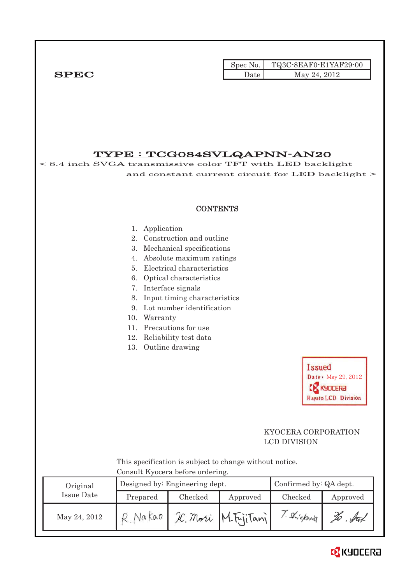Spec No. TQ3C-8EAF0-E1YAF29-00  $SPEC$  Date May 24, 2012

TYPE : TCG084SVLQAPNN-AN20 < 8.4 inch SVGA transmissive color TFT with LED backlight and constant current circuit for LED backlight > **CONTENTS** 1. Application 2. Construction and outline 3. Mechanical specifications 4. Absolute maximum ratings 5. Electrical characteristics 6. Optical characteristics 7. Interface signals 8. Input timing characteristics 9. Lot number identification 10. Warranty 11. Precautions for use 12. Reliability test data 13. Outline drawing **Issued** Date: May 29, 2012 **CR** KYDCERA **Hayato LCD Division**  KYOCERA CORPORATION LCD DIVISION This specification is subject to change without notice. Consult Kyocera before ordering. Designed by: Engineering dept. Confirmed by: QA dept. Original Issue Date Prepared Checked Approved Checked Approved T. Shickway May 24, 2012 R. Nakao R. Mori M. Fyjitani To . Sut

# **B** KYOCERA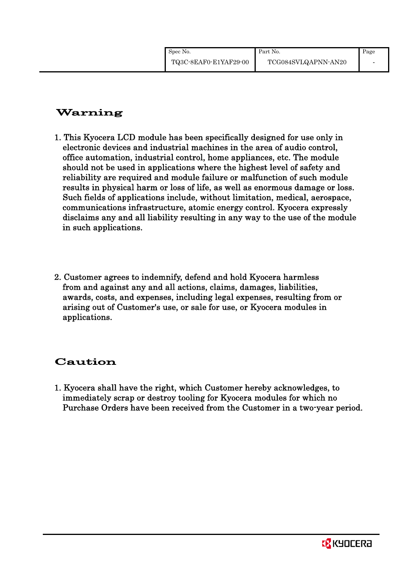## Warning

- 1. This Kyocera LCD module has been specifically designed for use only in electronic devices and industrial machines in the area of audio control, office automation, industrial control, home appliances, etc. The module should not be used in applications where the highest level of safety and reliability are required and module failure or malfunction of such module results in physical harm or loss of life, as well as enormous damage or loss. Such fields of applications include, without limitation, medical, aerospace, communications infrastructure, atomic energy control. Kyocera expressly disclaims any and all liability resulting in any way to the use of the module in such applications.
- 2. Customer agrees to indemnify, defend and hold Kyocera harmless from and against any and all actions, claims, damages, liabilities, awards, costs, and expenses, including legal expenses, resulting from or arising out of Customer's use, or sale for use, or Kyocera modules in applications.

## Caution

1. Kyocera shall have the right, which Customer hereby acknowledges, to immediately scrap or destroy tooling for Kyocera modules for which no Purchase Orders have been received from the Customer in a two-year period.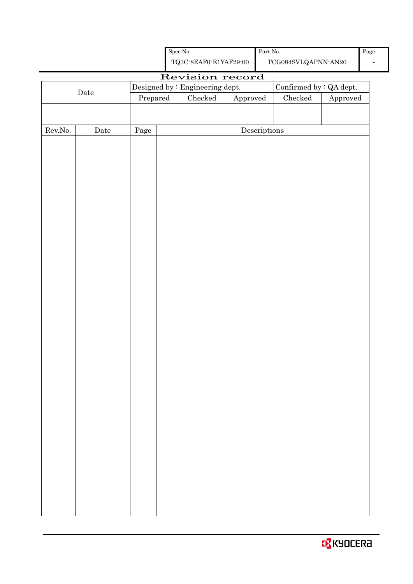| <b>B</b> KYOCERA |  |  |  |  |
|------------------|--|--|--|--|
|------------------|--|--|--|--|

|                  |      |          |  | TQ3C-8EAF0-E1YAF29-00           |                           |                                      | $\operatorname{TCG084SVLQAPNN\text{-}AN20}$ |                        |
|------------------|------|----------|--|---------------------------------|---------------------------|--------------------------------------|---------------------------------------------|------------------------|
| Revision record  |      |          |  |                                 |                           |                                      |                                             |                        |
|                  | Date |          |  | Designed by : Engineering dept. |                           |                                      | Confirmed by $:QA$ dept.                    |                        |
|                  |      | Prepared |  |                                 | $\rm Checked$<br>Approved |                                      | ${\it Checked}$                             | ${\Large\bf Approved}$ |
|                  |      |          |  |                                 |                           |                                      |                                             |                        |
| ${\rm Rev. No.}$ | Date |          |  |                                 |                           | $\label{eq:2} \textbf{Descriptions}$ |                                             |                        |
|                  |      | Page     |  |                                 |                           |                                      |                                             |                        |
|                  |      |          |  |                                 |                           |                                      |                                             |                        |
|                  |      |          |  |                                 |                           |                                      |                                             |                        |
|                  |      |          |  |                                 |                           |                                      |                                             |                        |
|                  |      |          |  |                                 |                           |                                      |                                             |                        |
|                  |      |          |  |                                 |                           |                                      |                                             |                        |
|                  |      |          |  |                                 |                           |                                      |                                             |                        |
|                  |      |          |  |                                 |                           |                                      |                                             |                        |
|                  |      |          |  |                                 |                           |                                      |                                             |                        |
|                  |      |          |  |                                 |                           |                                      |                                             |                        |
|                  |      |          |  |                                 |                           |                                      |                                             |                        |
|                  |      |          |  |                                 |                           |                                      |                                             |                        |
|                  |      |          |  |                                 |                           |                                      |                                             |                        |
|                  |      |          |  |                                 |                           |                                      |                                             |                        |
|                  |      |          |  |                                 |                           |                                      |                                             |                        |
|                  |      |          |  |                                 |                           |                                      |                                             |                        |
|                  |      |          |  |                                 |                           |                                      |                                             |                        |
|                  |      |          |  |                                 |                           |                                      |                                             |                        |
|                  |      |          |  |                                 |                           |                                      |                                             |                        |
|                  |      |          |  |                                 |                           |                                      |                                             |                        |
|                  |      |          |  |                                 |                           |                                      |                                             |                        |
|                  |      |          |  |                                 |                           |                                      |                                             |                        |
|                  |      |          |  |                                 |                           |                                      |                                             |                        |
|                  |      |          |  |                                 |                           |                                      |                                             |                        |
|                  |      |          |  |                                 |                           |                                      |                                             |                        |
|                  |      |          |  |                                 |                           |                                      |                                             |                        |
|                  |      |          |  |                                 |                           |                                      |                                             |                        |
|                  |      |          |  |                                 |                           |                                      |                                             |                        |
|                  |      |          |  |                                 |                           |                                      |                                             |                        |
|                  |      |          |  |                                 |                           |                                      |                                             |                        |
|                  |      |          |  |                                 |                           |                                      |                                             |                        |
|                  |      |          |  |                                 |                           |                                      |                                             |                        |
|                  |      |          |  |                                 |                           |                                      |                                             |                        |
|                  |      |          |  |                                 |                           |                                      |                                             |                        |

Spec No.

Part No.

-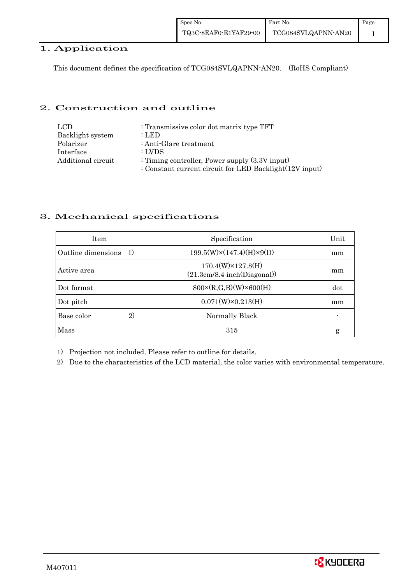### 1. Application

This document defines the specification of TCG084SVLQAPNN-AN20. (RoHS Compliant)

### 2. Construction and outline

| LCD.               | : Transmissive color dot matrix type TFT                |
|--------------------|---------------------------------------------------------|
| Backlight system   | : LED                                                   |
| Polarizer          | : Anti-Glare treatment                                  |
| Interface          | : LVDS                                                  |
| Additional circuit | : Timing controller, Power supply $(3.3V)$ input)       |
|                    | : Constant current circuit for LED Backlight(12V input) |

## 3. Mechanical specifications

| <b>Item</b>                        | Specification                                            | Unit |
|------------------------------------|----------------------------------------------------------|------|
| Outline dimensions<br><sup>1</sup> | $199.5(W)\times(147.4)(H)\times9(D)$                     | mm   |
| Active area                        | $170.4(W)\times 127.8(H)$<br>(21.3cm/8.4 inch(Diagonal)) | mm   |
| Dot format                         | $800 \times (R, G, B)(W) \times 600(H)$                  | dot  |
| Dot pitch                          | $0.071(W)\times0.213(H)$                                 | mm   |
| $\mathbf{2}$<br>Base color         | Normally Black                                           |      |
| Mass                               | 315                                                      | g    |

1) Projection not included. Please refer to outline for details.

2) Due to the characteristics of the LCD material, the color varies with environmental temperature.

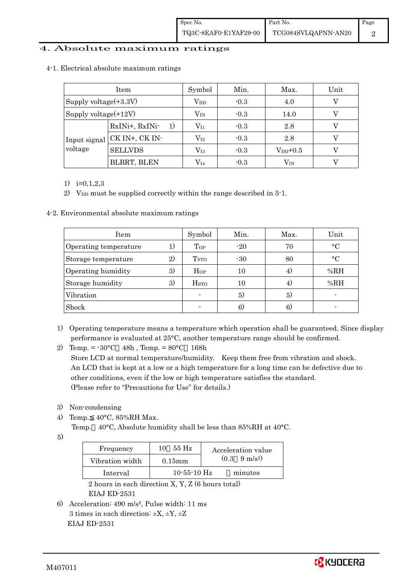### 4. Absolute maximum ratings

|                          | Item                 | Symbol                  | Min.   | Max.         | Unit |
|--------------------------|----------------------|-------------------------|--------|--------------|------|
| Supply voltage $(+3.3V)$ |                      | $\operatorname{V_{DD}}$ | $-0.3$ | 4.0          |      |
| Supply voltage(+12V)     |                      | $\rm V_{IN}$            | $-0.3$ | 14.0         |      |
| Input signal<br>voltage  | RxINi+, RxINi-<br>1) | $V_{I1}$                | $-0.3$ | 2.8          |      |
|                          | CK IN+, CK IN-       | $\rm V_{I2}$            | $-0.3$ | 2.8          |      |
|                          | <b>SELLVDS</b>       | $\rm V_{I3}$            | $-0.3$ | $V_{DD}+0.5$ |      |
|                          | <b>BLBRT, BLEN</b>   | $V_{I4}$                | $-0.3$ | $\rm V_{IN}$ |      |

#### 4-1. Electrical absolute maximum ratings

1)  $i=0,1,2,3$ 

2) V<sub>DD</sub> must be supplied correctly within the range described in 5-1.

4-2. Environmental absolute maximum ratings

| Item                  |    | Symbol                  | Min.  | Max. | Unit      |
|-----------------------|----|-------------------------|-------|------|-----------|
| Operating temperature | 1) | Top                     | $-20$ | 70   | $\circ$ C |
| Storage temperature   | 2) | T <sub>STO</sub>        | $-30$ | 80   | $\circ$ C |
| Operating humidity    | 3) | $H_{OP}$                | 10    | 4)   | %RH       |
| Storage humidity      | 3) | <b>H</b> <sub>STO</sub> | 10    | 4)   | %RH       |
| Vibration             |    |                         | 5)    | 5)   |           |
| Shock                 |    |                         | 6)    | 6)   |           |

- 1) Operating temperature means a temperature which operation shall be guaranteed. Since display performance is evaluated at 25°C, another temperature range should be confirmed.
- 2) Temp. =  $-30^{\circ}$ C 48h, Temp. =  $80^{\circ}$ C 168h Store LCD at normal temperature/humidity. Keep them free from vibration and shock. An LCD that is kept at a low or a high temperature for a long time can be defective due to other conditions, even if the low or high temperature satisfies the standard. (Please refer to "Precautions for Use" for details.)
- 3) Non-condensing
- 4) Temp. 40°C, 85%RH Max.
	- Temp. 40°C, Absolute humidity shall be less than 85%RH at 40°C.

5)

| Frequency       | 55 Hz<br>10       | Acceleration value            |
|-----------------|-------------------|-------------------------------|
| Vibration width | $0.15$ m m        | $(0.3 \quad 9 \text{ m/s}^2)$ |
| Interval        | $10 - 55 - 10$ Hz | minutes                       |

2 hours in each direction  $X$ ,  $Y$ ,  $Z$  (6 hours total) EIAJ ED-2531

6) Acceleration: 490 m/s2, Pulse width: 11 ms 3 times in each direction:  $\pm X$ ,  $\pm Y$ ,  $\pm Z$ EIAJ ED-2531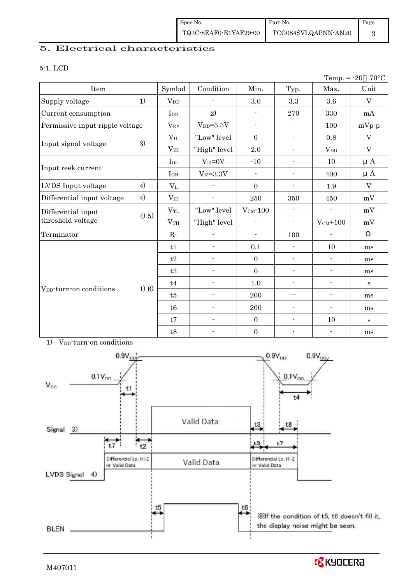## 5. Electrical characteristics

#### 5-1. LCD

|                                     |          |                 |                          |                          |                          | Temp. $= -20$            | $70^{\circ}$ C |
|-------------------------------------|----------|-----------------|--------------------------|--------------------------|--------------------------|--------------------------|----------------|
| Item                                |          | Symbol          | Condition                | Min.                     | Typ.                     | Max.                     | Unit           |
| Supply voltage                      | 1)       | $V_{DD}$        |                          | 3.0                      | 3.3                      | 3.6                      | V              |
| Current consumption                 |          | I <sub>DD</sub> | 2)                       | $\blacksquare$           | 270                      | 330                      | mA             |
| Permissive input ripple voltage     |          | $V_{RP}$        | $V_{DD}=3.3V$            | $\blacksquare$           | $\omega$                 | 100                      | $mVp-p$        |
|                                     |          | $V_{IL}$        | "Low" level              | $\mathbf{0}$             | $\overline{\phantom{a}}$ | 0.8                      | $\mathbf V$    |
| Input signal voltage                | 3)       | V <sub>IH</sub> | "High" level             | $2.0\,$                  | $\overline{\phantom{a}}$ | <b>V</b> <sub>DD</sub>   | V              |
|                                     |          | $I_{OL}$        | $V_{I3}=0V$              | $-10$                    | $\overline{\phantom{a}}$ | 10                       | $\mu A$        |
| Input reek current                  |          | $I_{OH}$        | $V_{I3} = 3.3V$          | $\blacksquare$           | $\overline{\phantom{a}}$ | 400                      | $\mu A$        |
| LVDS Input voltage                  | 4)       | $V_{L}$         |                          | $\mathbf{0}$             | $\overline{\phantom{a}}$ | 1.9                      | $\rm V$        |
| Differential input voltage          | 4)       | $V_{ID}$        | $\overline{a}$           | 250                      | 350                      | 450                      | mV             |
| Differential input                  |          | $V_{TL}$        | "Low" level              | $V_{CM}$ -100            | $\blacksquare$           | $\blacksquare$           | mV             |
| threshold voltage                   | $(4)$ 5) | V <sub>TH</sub> | "High" level             | $\overline{\phantom{a}}$ | $\overline{\phantom{a}}$ | $V_{CM}$ +100            | mV             |
| Terminator                          |          | $R_1$           |                          | $\overline{\phantom{a}}$ | 100                      |                          |                |
|                                     |          | t1              | $\overline{a}$           | 0.1                      | $\overline{a}$           | 10                       | ms             |
|                                     |          | t2              |                          | $\mathbf{0}$             | $\overline{\phantom{a}}$ | $\frac{1}{2}$            | ms             |
|                                     |          | t3              | $\overline{a}$           | $\mathbf{0}$             | $\overline{\phantom{a}}$ | $\overline{\phantom{a}}$ | ms             |
|                                     |          | t4              | $\overline{a}$           | $1.0\,$                  | $\overline{\phantom{a}}$ | $\overline{\phantom{a}}$ | $\mathbf{s}$   |
| V <sub>DD</sub> -turn-on conditions | 1) 6)    | t5              |                          | 200                      | $-$                      | $\blacksquare$           | ms             |
|                                     |          | t6              | $\overline{a}$           | 200                      | $\blacksquare$           | $\overline{\phantom{a}}$ | ms             |
|                                     |          | t7              | $\overline{a}$           | $\mathbf{0}$             | $\overline{\phantom{a}}$ | 10                       | S              |
|                                     |          | t8              | $\overline{\phantom{a}}$ | $\boldsymbol{0}$         | $\overline{\phantom{a}}$ | $\overline{\phantom{a}}$ | ms             |



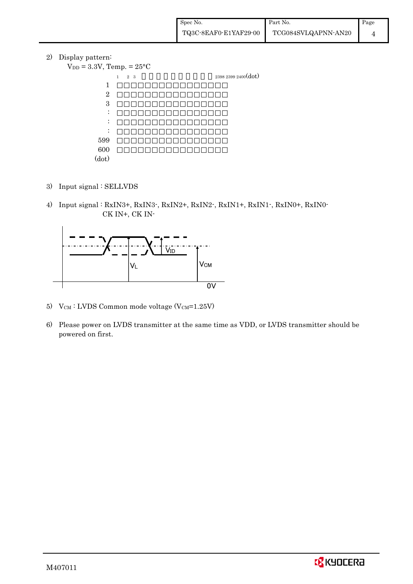2) Display pattern:

 $V_{DD} = 3.3V$ , Temp. =  $25^{\circ}$ C  $1 \quad 2 \quad 3 \quad 2398 \quad 2399 \quad 2400 \text{(dot)}$ 1 2 3 : : : 599 600 (dot)

- 3) Input signal : SELLVDS
- 4) Input signal : RxIN3+, RxIN3-, RxIN2+, RxIN2-, RxIN1+, RxIN1-, RxIN0+, RxIN0- CK IN+, CK IN-



- 5)  $V_{CM}$ : LVDS Common mode voltage (V $_{CM}$ =1.25V)
- 6) Please power on LVDS transmitter at the same time as VDD, or LVDS transmitter should be powered on first.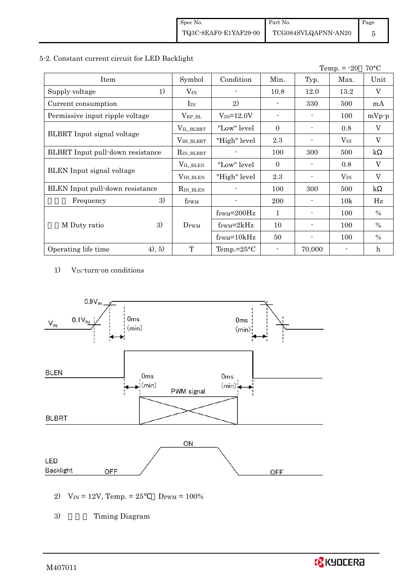### 5-2. Constant current circuit for LED Backlight

|                                  |                  |                               |                |                | Temp. $= -20$ | $70^{\circ}$ C |
|----------------------------------|------------------|-------------------------------|----------------|----------------|---------------|----------------|
| Item                             | Symbol           | Condition                     | Min.           | Typ.           | Max.          | Unit           |
| 1)<br>Supply voltage             | $V_{IN}$         |                               | 10.8           | 12.0           | 13.2          | V              |
| Current consumption              | $I_{IN}$         | 2)                            |                | 330            | 500           | mA             |
| Permissive input ripple voltage  | $V_{\rm RP\_BL}$ | $V_{IN} = 12.0V$              | $\blacksquare$ |                | 100           | $mVp-p$        |
|                                  | VIL_BLBRT        | "Low" level                   | $\theta$       |                | 0.8           | V              |
| BLBRT Input signal voltage       | VIH_BLBRT        | "High" level                  | 2.3            |                | $V_{IN}$      | $\overline{V}$ |
| BLBRT Input pull-down resistance | $R_{IN\_BLBRT}$  |                               | 100            | 300            | 500           | $\mathbf{k}$   |
|                                  | VIL_BLEN         | "Low" level                   | $\theta$       |                | 0.8           | $\mathbf V$    |
| <b>BLEN</b> Input signal voltage | VIH_BLEN         | "High" level                  | 2.3            |                | $V_{IN}$      | V              |
| BLEN Input pull-down resistance  | $R_{IN\_BLEN}$   |                               | 100            | 300            | 500           | $\mathbf{k}$   |
| 3)<br>Frequency                  | f <sub>PWM</sub> |                               | 200            |                | 10k           | Hz             |
|                                  |                  | $f_{\text{PWM}}=200\text{Hz}$ | $\mathbf{1}$   |                | 100           | $\%$           |
| 3)<br>M Duty ratio               | DPWM             | $f_{\text{PWM}}=2kHz$         | 10             | $\blacksquare$ | 100           | $\frac{0}{0}$  |
|                                  |                  | $f_{\text{PWM}} = 10kHz$      | 50             |                | 100           | $\%$           |
| (4), 5)<br>Operating life time   | T                | Temp.= $25^{\circ}$ C         |                | 70,000         |               | $\mathbf{h}$   |

1) V<sub>IN</sub>-turn-on conditions



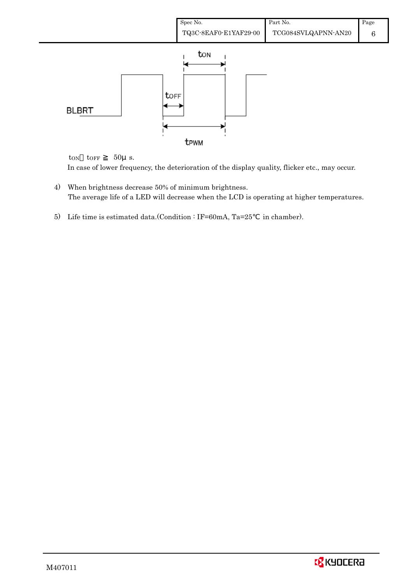

ton  $to$ FF  $50\mu$  s. In case of lower frequency, the deterioration of the display quality, flicker etc., may occur.

- 4) When brightness decrease 50% of minimum brightness. The average life of a LED will decrease when the LCD is operating at higher temperatures.
- 5) Life time is estimated data.(Condition : IF=60mA, Ta=25 in chamber).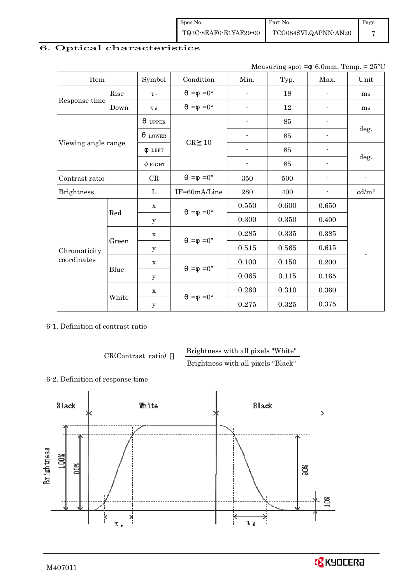Spec No. TQ3C-8EAF0-E1YAF29-00 Part No. TCG084SVLQAPNN-AN20 Page 7

## 6. Optical characteristics

Measuring spot =  $6.0$ mm, Temp. =  $25^{\circ}$ C

| Item                        |       | Symbol              | Condition           | Min.                     | Typ.  | Max.                     | Unit                       |  |
|-----------------------------|-------|---------------------|---------------------|--------------------------|-------|--------------------------|----------------------------|--|
|                             | Rise  | $\tau_r$            | $=0^{\circ}$<br>$=$ | $\overline{a}$           | 18    |                          | ms                         |  |
| Response time               | Down  | $\tau$ <sub>d</sub> | $=0^{\circ}$<br>$=$ | $\overline{\phantom{a}}$ | 12    |                          | ms                         |  |
|                             |       | <b>UPPER</b>        |                     |                          | 85    |                          |                            |  |
|                             |       | <b>LOWER</b>        | CR<br>10            |                          | 85    |                          | deg.                       |  |
| Viewing angle range         |       | <b>LEFT</b>         |                     | $\overline{\phantom{a}}$ | 85    | $\overline{\phantom{a}}$ |                            |  |
|                             |       | $\phi$ right        |                     | ÷,                       | 85    | $\overline{a}$           | deg.                       |  |
| Contrast ratio              |       | $\rm CR$            | $=0^{\circ}$<br>$=$ | 350                      | 500   |                          | $\overline{a}$             |  |
| <b>Brightness</b>           |       | L                   | IF=60mA/Line        | 280                      | 400   |                          | $\mathrm{cd}/\mathrm{m}^2$ |  |
|                             | Red   | $\mathbf X$         | $=0^{\circ}$<br>$=$ | 0.550                    | 0.600 | 0.650                    |                            |  |
|                             |       | У                   |                     | 0.300                    | 0.350 | 0.400                    |                            |  |
|                             |       | $\mathbf X$         | $=0^{\circ}$<br>$=$ | 0.285                    | 0.335 | 0.385                    |                            |  |
| Chromaticity<br>coordinates | Green | У                   |                     | 0.515                    | 0.565 | 0.615                    |                            |  |
|                             |       | $\mathbf X$         | $=0^{\circ}$<br>$=$ | 0.100                    | 0.150 | 0.200                    |                            |  |
|                             | Blue  | У                   |                     | 0.065                    | 0.115 | 0.165                    |                            |  |
|                             |       | $\mathbf X$         |                     | 0.260                    | 0.310 | 0.360                    |                            |  |
|                             | White | $\mathbf y$         | $=0^{\circ}$<br>$=$ | 0.275                    | 0.325 | 0.375                    |                            |  |

6-1. Definition of contrast ratio

CR(Contrast ratio) Brightness with all pixels "White"

Brightness with all pixels "Black"

6-2. Definition of response time

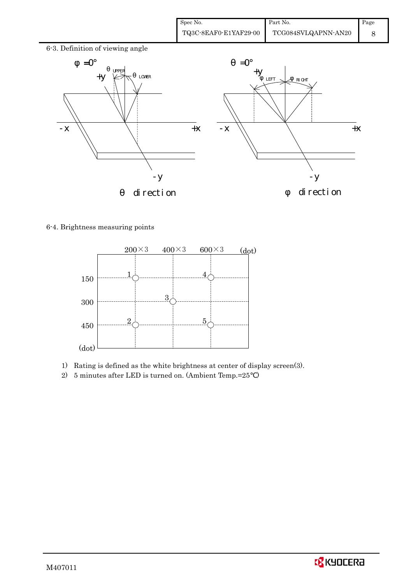| Spec No.              | Part No.            | Page |
|-----------------------|---------------------|------|
| TQ3C-8EAF0-E1YAF29-00 | TCG084SVLQAPNN-AN20 |      |



6-4. Brightness measuring points



- 1) Rating is defined as the white brightness at center of display screen(3).
- 2) 5 minutes after LED is turned on. (Ambient Temp.=25 )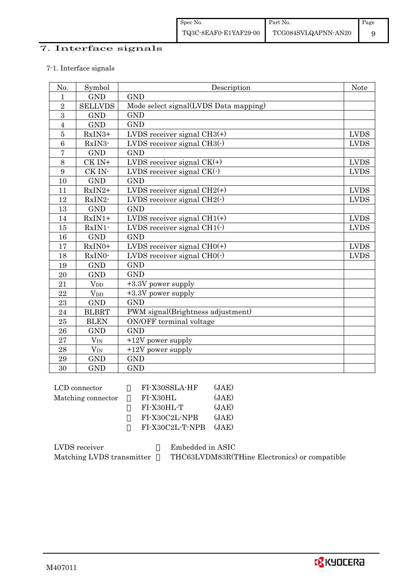## 7. Interface signals

### 7-1. Interface signals

| No.            | Symbol         | Description                           | Note         |
|----------------|----------------|---------------------------------------|--------------|
| $\mathbf{1}$   | <b>GND</b>     | <b>GND</b>                            |              |
| $\sqrt{2}$     | <b>SELLVDS</b> | Mode select signal(LVDS Data mapping) |              |
| 3              | <b>GND</b>     | <b>GND</b>                            |              |
| $\overline{4}$ | <b>GND</b>     | <b>GND</b>                            |              |
| $\overline{5}$ | RxIN3+         | LVDS receiver signal $CH3(+)$         | <b>LVDS</b>  |
| 6              | RxIN3-         | LVDS receiver signal $CH3()$          | <b>LVDS</b>  |
| $\overline{7}$ | <b>GND</b>     | <b>GND</b>                            |              |
| 8              | CK IN+         | LVDS receiver signal $CK(+)$          | <b>LVDS</b>  |
| 9              | CK IN-         | LVDS receiver signal $CK(\cdot)$      | <b>LVDS</b>  |
| 10             | <b>GND</b>     | <b>GND</b>                            |              |
| 11             | $RxIN2+$       | LVDS receiver signal $CH2(+)$         | ${\rm LVDS}$ |
| 12             | RxIN2-         | LVDS receiver signal $CH2(\cdot)$     | <b>LVDS</b>  |
| 13             | <b>GND</b>     | <b>GND</b>                            |              |
| 14             | $RxIN1+$       | LVDS receiver signal $CH1(+)$         | <b>LVDS</b>  |
| 15             | RxIN1-         | LVDS receiver signal $CH1(\cdot)$     | <b>LVDS</b>  |
| 16             | <b>GND</b>     | <b>GND</b>                            |              |
| 17             | $RxIN0+$       | LVDS receiver signal $CHO(+)$         | <b>LVDS</b>  |
| 18             | RxIN0-         | LVDS receiver signal $CHO(·)$         | <b>LVDS</b>  |
| 19             | <b>GND</b>     | <b>GND</b>                            |              |
| 20             | <b>GND</b>     | <b>GND</b>                            |              |
| 21             | $V_{DD}$       | +3.3V power supply                    |              |
| 22             | $V_{DD}$       | +3.3V power supply                    |              |
| 23             | <b>GND</b>     | <b>GND</b>                            |              |
| 24             | <b>BLBRT</b>   | PWM signal(Brightness adjustment)     |              |
| 25             | <b>BLEN</b>    | ON/OFF terminal voltage               |              |
| 26             | <b>GND</b>     | <b>GND</b>                            |              |
| 27             | $V_{IN}$       | $+12V$ power supply                   |              |
| 28             | $V_{IN}$       | $+12V$ power supply                   |              |
| 29             | <b>GND</b>     | <b>GND</b>                            |              |
| 30             | <b>GND</b>     | <b>GND</b>                            |              |

| FI-X30SSLA-HF   | (JAE) |
|-----------------|-------|
| FI-X30HL        | (JAE) |
| FI-X30HL-T      | (JAE) |
| FI-X30C2L-NPB   | (JAE) |
| FI-X30C2L-T-NPB | (JAE) |
|                 |       |

| LVDS receiver             | Embedded in ASIC                              |
|---------------------------|-----------------------------------------------|
| Matching LVDS transmitter | THC63LVDM83R(THine Electronics) or compatible |

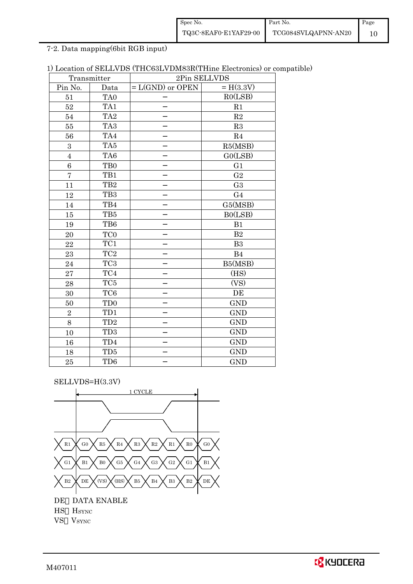| Spec No.              | Part No.            | Page |
|-----------------------|---------------------|------|
| TQ3C-8EAF0-E1YAF29-00 | TCG084SVLQAPNN-AN20 |      |

7-2. Data mapping(6bit RGB input)

| 1) Location of SELLVDS (THC63LVDM83R(THine Electronics) or compatible) |  |
|------------------------------------------------------------------------|--|
|------------------------------------------------------------------------|--|

| Transmitter      |                 | 2Pin SELLVDS       |                |
|------------------|-----------------|--------------------|----------------|
| Pin No.          | Data            | $= L(GND)$ or OPEN | $= H(3.3V)$    |
| 51               | TA <sub>0</sub> |                    | RO(LSB)        |
| 52               | TA1             |                    | R1             |
| 54               | TA <sub>2</sub> |                    | $\mathbf{R}2$  |
| 55               | TA <sub>3</sub> |                    | R3             |
| 56               | TA4             |                    | R4             |
| $\boldsymbol{3}$ | TA5             |                    | R5(MSB)        |
| $\overline{4}$   | TA6             |                    | GO(LSB)        |
| $\,6$            | TB <sub>0</sub> |                    | G <sub>1</sub> |
| $\overline{7}$   | TB1             |                    | G <sub>2</sub> |
| 11               | TB <sub>2</sub> |                    | G <sub>3</sub> |
| 12               | TB <sub>3</sub> |                    | G <sub>4</sub> |
| 14               | TB4             |                    | G5(MSB)        |
| 15               | TB5             |                    | B0(LSB)        |
| 19               | TB6             |                    | B1             |
| 20               | TC0             |                    | B <sub>2</sub> |
| 22               | TC1             |                    | B <sub>3</sub> |
| 23               | TC <sub>2</sub> |                    | B <sub>4</sub> |
| 24               | TC <sub>3</sub> |                    | B5(MSB)        |
| 27               | TC4             |                    | (HS)           |
| 28               | TC5             |                    | (VS)           |
| 30               | TC <sub>6</sub> |                    | DE             |
| 50               | TD <sub>0</sub> |                    | <b>GND</b>     |
| $\overline{2}$   | TD1             |                    | <b>GND</b>     |
| 8                | TD <sub>2</sub> |                    | <b>GND</b>     |
| 10               | TD <sub>3</sub> |                    | <b>GND</b>     |
| 16               | TD4             |                    | <b>GND</b>     |
| 18               | TD5             |                    | <b>GND</b>     |
| 25               | TD <sub>6</sub> |                    | <b>GND</b>     |

SELLVDS=H(3.3V)



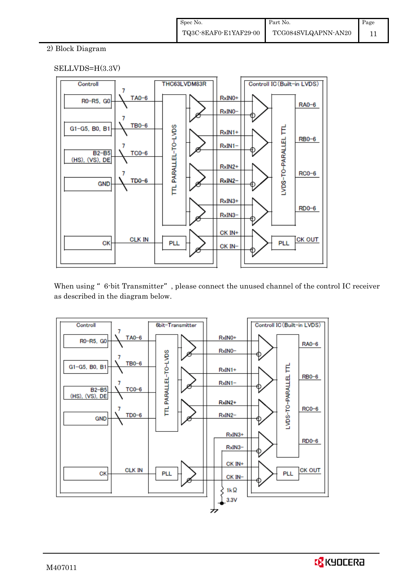## 2) Block Diagram

### SELLVDS=H(3.3V)



When using "6-bit Transmitter", please connect the unused channel of the control IC receiver as described in the diagram below.



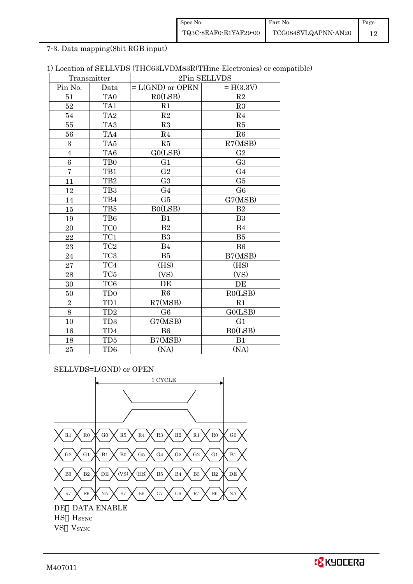| Spec No.              | Part No.            | Page |
|-----------------------|---------------------|------|
| TQ3C-8EAF0-E1YAF29-00 | TCG084SVLQAPNN-AN20 |      |

7-3. Data mapping(8bit RGB input)

|  |  |  |  |  |  | 1) Location of SELLVDS (THC63LVDM83R(THine Electronics) or compatible) |
|--|--|--|--|--|--|------------------------------------------------------------------------|
|--|--|--|--|--|--|------------------------------------------------------------------------|

|                         | Transmitter     | 2Pin SELLVDS       |                |  |
|-------------------------|-----------------|--------------------|----------------|--|
| Pin No.                 | Data            | $= L(GND)$ or OPEN | $= H(3.3V)$    |  |
| 51                      | TA <sub>0</sub> | RO(LSB)            | R2             |  |
| 52                      | TA1             | R1                 | R3             |  |
| 54                      | TA <sub>2</sub> | $\mathbf{R}2$      | R <sub>4</sub> |  |
| $55\,$                  | TA <sub>3</sub> | R3                 | R5             |  |
| 56                      | TA4             | R <sub>4</sub>     | R6             |  |
| $\boldsymbol{3}$        | TA <sub>5</sub> | R5                 | R7(MSB)        |  |
| $\overline{\mathbf{4}}$ | TA6             | GO(LSB)            | G <sub>2</sub> |  |
| $\boldsymbol{6}$        | TB0             | G <sub>1</sub>     | G <sub>3</sub> |  |
| $\overline{7}$          | TB1             | G <sub>2</sub>     | G <sub>4</sub> |  |
| 11                      | TB <sub>2</sub> | G <sub>3</sub>     | G5             |  |
| 12                      | TB <sub>3</sub> | G <sub>4</sub>     | G <sub>6</sub> |  |
| 14                      | TB4             | G5                 | G7(MSB)        |  |
| 15                      | TB5             | B0(LSB)            | B <sub>2</sub> |  |
| 19                      | TB6             | B1                 | B <sub>3</sub> |  |
| 20                      | TC <sub>0</sub> | B <sub>2</sub>     | B <sub>4</sub> |  |
| 22                      | TC1             | B <sub>3</sub>     | B5             |  |
| 23                      | TC <sub>2</sub> | B <sub>4</sub>     | B <sub>6</sub> |  |
| 24                      | TC <sub>3</sub> | B5                 | B7(MSB)        |  |
| 27                      | TC4             | (HS)               | (HS)           |  |
| 28                      | $\rm TC5$       | (VS)               | (VS)           |  |
| 30                      | TC <sub>6</sub> | DE                 | DE             |  |
| 50                      | TD <sub>0</sub> | R6                 | RO(LSB)        |  |
| $\overline{2}$          | TD1             | R7(MSB)            | R1             |  |
| 8                       | $\rm TD2$       | G <sub>6</sub>     | GO(LSB)        |  |
| 10                      | TD <sub>3</sub> | G7(MSB)            | G <sub>1</sub> |  |
| 16                      | TD4             | <b>B6</b>          | B0(LSB)        |  |
| 18                      | TD5             | B7(MSB)            | B1             |  |
| 25                      | TD <sub>6</sub> | (NA)               | (NA)           |  |

SELLVDS=L(GND) or OPEN

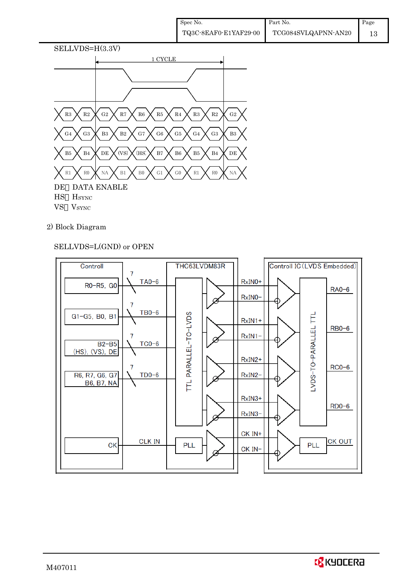

## 2) Block Diagram

## SELLVDS=L(GND) or OPEN

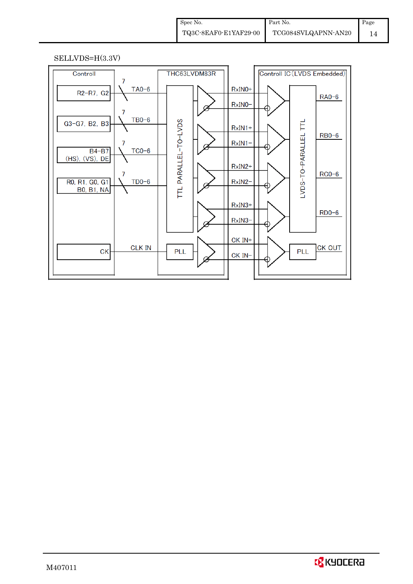#### SELLVDS=H(3.3V)

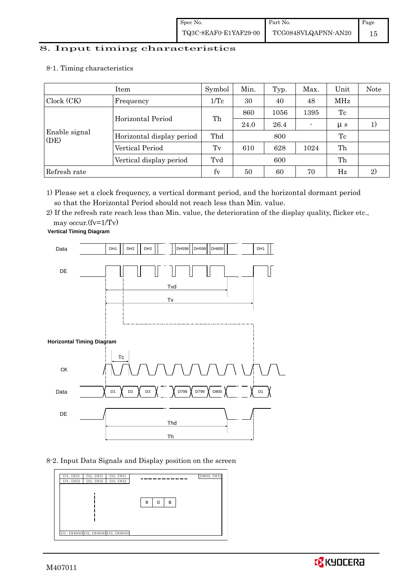## 8. Input timing characteristics  $\overline{\phantom{a}}$

8-1. Timing characteristics

|                       | Item                      | Symbol | Min. | Typ. | Max. | Unit        | Note |
|-----------------------|---------------------------|--------|------|------|------|-------------|------|
| Clock (CK)            | Frequency                 | 1/Tc   | 30   | 40   | 48   | MHz         |      |
|                       | Horizontal Period         |        | 860  | 1056 | 1395 | Tc          |      |
|                       |                           | Th     | 24.0 | 26.4 |      | $\mu s$     | 1)   |
| Enable signal<br>(DE) | Horizontal display period | Thd    |      | 800  |      | Tc          |      |
|                       | Vertical Period           | Tv     | 610  | 628  | 1024 | Th          |      |
|                       | Vertical display period   | Tvd    |      | 600  |      | Th          |      |
| Refresh rate          |                           | fy     | 50   | 60   | 70   | $_{\rm Hz}$ | 2)   |

1) Please set a clock frequency, a vertical dormant period, and the horizontal dormant period so that the Horizontal Period should not reach less than Min. value.

2) If the refresh rate reach less than Min. value, the deterioration of the display quality, flicker etc.,

may occur.(fv=1/Tv)



8-2. Input Data Signals and Display position on the screen



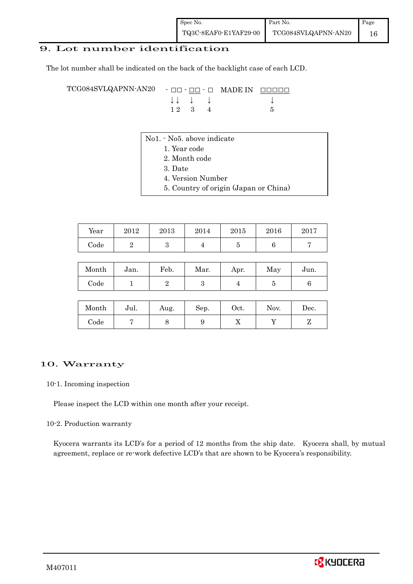## 9. Lot number identification

The lot number shall be indicated on the back of the backlight case of each LCD.

TCG084SVLQAPNN-AN20 - □□ - □□ - □ MADE IN □□□□□ ↓ ↓ ↓ ↓ ↓  $12 \quad 3 \quad 4$  5

- No1. No5. above indicate
	- 1. Year code
		- 2. Month code
		- 3. Date
		- 4. Version Number
		- 5. Country of origin (Japan or China)

| Year | 2012 | 2013 | 2014 | 2015 | 2016 | 2017 |
|------|------|------|------|------|------|------|
| Code |      | ບ    |      |      |      |      |

| Month | Jan. | Feb. | Mar. | Apr. | May | Jun. |
|-------|------|------|------|------|-----|------|
| Code  |      |      |      |      |     |      |

| Month      | Jul. | Aug. | Sep. | Oct. | Nov. | Dec. |
|------------|------|------|------|------|------|------|
| $\rm Code$ |      |      |      | ∡⊾   |      |      |

#### 10. Warranty

#### 10-1. Incoming inspection

Please inspect the LCD within one month after your receipt.

#### 10-2. Production warranty

 Kyocera warrants its LCD's for a period of 12 months from the ship date. Kyocera shall, by mutual agreement, replace or re-work defective LCD's that are shown to be Kyocera's responsibility.

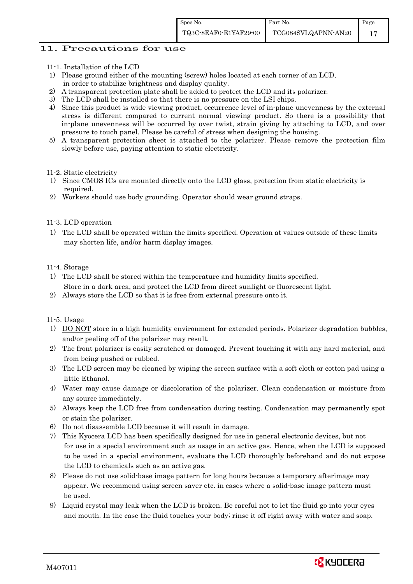### 11. Precautions for use

- 11-1. Installation of the LCD
- 1) Please ground either of the mounting (screw) holes located at each corner of an LCD, in order to stabilize brightness and display quality.
- 2) A transparent protection plate shall be added to protect the LCD and its polarizer.
- 3) The LCD shall be installed so that there is no pressure on the LSI chips.
- 4) Since this product is wide viewing product, occurrence level of in-plane unevenness by the external stress is different compared to current normal viewing product. So there is a possibility that in-plane unevenness will be occurred by over twist, strain giving by attaching to LCD, and over pressure to touch panel. Please be careful of stress when designing the housing.
- 5) A transparent protection sheet is attached to the polarizer. Please remove the protection film slowly before use, paying attention to static electricity.

### 11-2. Static electricity

- 1) Since CMOS ICs are mounted directly onto the LCD glass, protection from static electricity is required.
- 2) Workers should use body grounding. Operator should wear ground straps.

### 11-3. LCD operation

1) The LCD shall be operated within the limits specified. Operation at values outside of these limits may shorten life, and/or harm display images.

### 11-4. Storage

- 1) The LCD shall be stored within the temperature and humidity limits specified. Store in a dark area, and protect the LCD from direct sunlight or fluorescent light.
- 2) Always store the LCD so that it is free from external pressure onto it.

11-5. Usage

- 1) DO NOT store in a high humidity environment for extended periods. Polarizer degradation bubbles, and/or peeling off of the polarizer may result.
- 2) The front polarizer is easily scratched or damaged. Prevent touching it with any hard material, and from being pushed or rubbed.
- 3) The LCD screen may be cleaned by wiping the screen surface with a soft cloth or cotton pad using a little Ethanol.
- 4) Water may cause damage or discoloration of the polarizer. Clean condensation or moisture from any source immediately.
- 5) Always keep the LCD free from condensation during testing. Condensation may permanently spot or stain the polarizer.
- 6) Do not disassemble LCD because it will result in damage.
- 7) This Kyocera LCD has been specifically designed for use in general electronic devices, but not for use in a special environment such as usage in an active gas. Hence, when the LCD is supposed to be used in a special environment, evaluate the LCD thoroughly beforehand and do not expose the LCD to chemicals such as an active gas.
- 8) Please do not use solid-base image pattern for long hours because a temporary afterimage may appear. We recommend using screen saver etc. in cases where a solid-base image pattern must be used.
- 9) Liquid crystal may leak when the LCD is broken. Be careful not to let the fluid go into your eyes and mouth. In the case the fluid touches your body; rinse it off right away with water and soap.

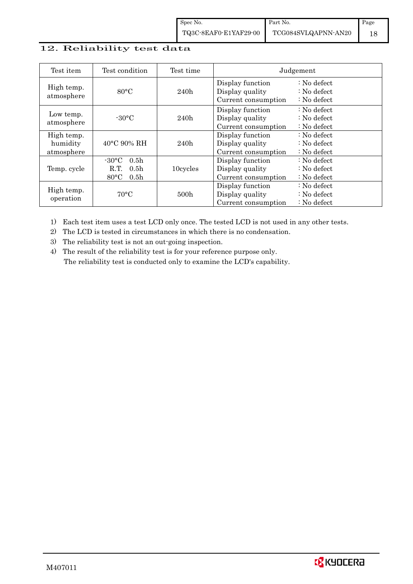## 12. Reliability test data

| Test item                            | Test condition                                                                                        | Test time | Judgement                                                  |                                                                            |  |
|--------------------------------------|-------------------------------------------------------------------------------------------------------|-----------|------------------------------------------------------------|----------------------------------------------------------------------------|--|
| High temp.<br>atmosphere             | $80^{\circ}$ C                                                                                        | 240h      | Display function<br>Display quality<br>Current consumption | $\therefore$ No defect<br>$\therefore$ No defect<br>$\therefore$ No defect |  |
| Low temp.<br>atmosphere              | $-30$ °C                                                                                              | 240h      | Display function<br>Display quality<br>Current consumption | $\therefore$ No defect<br>: No defect<br>$\therefore$ No defect            |  |
| High temp.<br>humidity<br>atmosphere | $40^{\circ}$ C 90% RH                                                                                 | 240h      | Display function<br>Display quality<br>Current consumption | : No defect<br>$\therefore$ No defect<br>$\therefore$ No defect            |  |
| Temp. cycle                          | $-30^{\circ}$ C<br>0.5 <sub>h</sub><br>0.5 <sub>h</sub><br>R.T.<br>$80^{\circ}$ C<br>0.5 <sub>h</sub> | 10cycles  | Display function<br>Display quality<br>Current consumption | $\therefore$ No defect<br>$\therefore$ No defect<br>$\therefore$ No defect |  |
| High temp.<br>operation              | $70^{\circ}$ C                                                                                        | 500h      | Display function<br>Display quality<br>Current consumption | : No defect<br>$\therefore$ No defect<br>$\therefore$ No defect            |  |

1) Each test item uses a test LCD only once. The tested LCD is not used in any other tests.

2) The LCD is tested in circumstances in which there is no condensation.

3) The reliability test is not an out-going inspection.

4) The result of the reliability test is for your reference purpose only. The reliability test is conducted only to examine the LCD's capability.

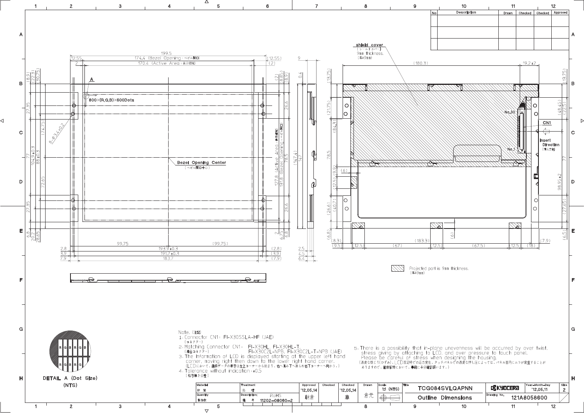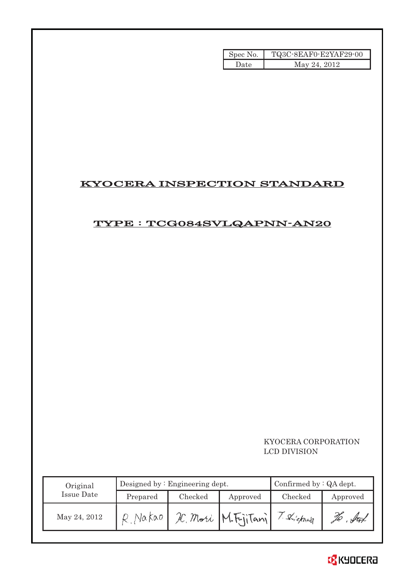| Spec No. | TQ3C-8EAF0-E2YAF29-00 |
|----------|-----------------------|
| Date     | May 24, 2012          |

## KYOCERA INSPECTION STANDARD

## TYPE : TCG084SVLQAPNN-AN20

## KYOCERA CORPORATION LCD DIVISION

| Original     |          | Designed by: Engineering dept. | Confirmed by $:QA$ dept. |           |          |
|--------------|----------|--------------------------------|--------------------------|-----------|----------|
| Issue Date   | Prepared | Checked                        | Approved                 | Checked   | Approved |
| May 24, 2012 | Na kao   |                                | IC. Mori M. FijiTani     | Shickward |          |

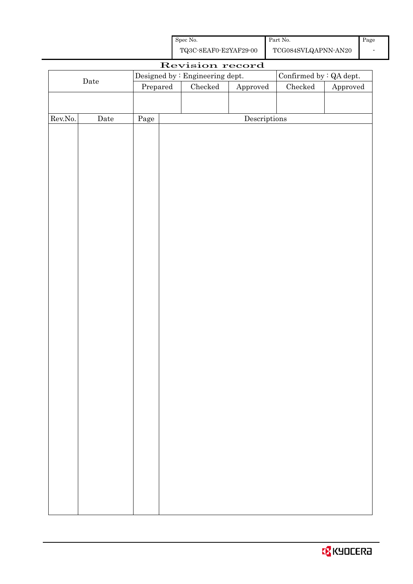| Spec No.              | Part No.            |
|-----------------------|---------------------|
| TQ3C-8EAF0-E2YAF29-00 | TCG084SVLQAPNN-AN20 |

|         | Revision record |      |                                  |                                 |                                      |                                |          |  |  |
|---------|-----------------|------|----------------------------------|---------------------------------|--------------------------------------|--------------------------------|----------|--|--|
|         |                 |      |                                  | Designed by : Engineering dept. |                                      | Confirmed by $\colon$ QA dept. |          |  |  |
|         | $\rm{Date}$     |      | $\ensuremath{\mathrm{Prepared}}$ | $\rm Checked$                   | Approved                             | ${\it Checked}$                | Approved |  |  |
|         |                 |      |                                  |                                 |                                      |                                |          |  |  |
|         |                 |      |                                  |                                 |                                      |                                |          |  |  |
| Rev.No. | Date            | Page |                                  |                                 | $\label{eq:2} \textbf{Descriptions}$ |                                |          |  |  |
|         |                 |      |                                  |                                 |                                      |                                |          |  |  |
|         |                 |      |                                  |                                 |                                      |                                |          |  |  |
|         |                 |      |                                  |                                 |                                      |                                |          |  |  |
|         |                 |      |                                  |                                 |                                      |                                |          |  |  |
|         |                 |      |                                  |                                 |                                      |                                |          |  |  |
|         |                 |      |                                  |                                 |                                      |                                |          |  |  |
|         |                 |      |                                  |                                 |                                      |                                |          |  |  |
|         |                 |      |                                  |                                 |                                      |                                |          |  |  |
|         |                 |      |                                  |                                 |                                      |                                |          |  |  |
|         |                 |      |                                  |                                 |                                      |                                |          |  |  |
|         |                 |      |                                  |                                 |                                      |                                |          |  |  |
|         |                 |      |                                  |                                 |                                      |                                |          |  |  |
|         |                 |      |                                  |                                 |                                      |                                |          |  |  |
|         |                 |      |                                  |                                 |                                      |                                |          |  |  |
|         |                 |      |                                  |                                 |                                      |                                |          |  |  |
|         |                 |      |                                  |                                 |                                      |                                |          |  |  |
|         |                 |      |                                  |                                 |                                      |                                |          |  |  |
|         |                 |      |                                  |                                 |                                      |                                |          |  |  |
|         |                 |      |                                  |                                 |                                      |                                |          |  |  |
|         |                 |      |                                  |                                 |                                      |                                |          |  |  |
|         |                 |      |                                  |                                 |                                      |                                |          |  |  |
|         |                 |      |                                  |                                 |                                      |                                |          |  |  |
|         |                 |      |                                  |                                 |                                      |                                |          |  |  |
|         |                 |      |                                  |                                 |                                      |                                |          |  |  |
|         |                 |      |                                  |                                 |                                      |                                |          |  |  |
|         |                 |      |                                  |                                 |                                      |                                |          |  |  |
|         |                 |      |                                  |                                 |                                      |                                |          |  |  |
|         |                 |      |                                  |                                 |                                      |                                |          |  |  |
|         |                 |      |                                  |                                 |                                      |                                |          |  |  |
|         |                 |      |                                  |                                 |                                      |                                |          |  |  |
|         |                 |      |                                  |                                 |                                      |                                |          |  |  |
|         |                 |      |                                  |                                 |                                      |                                |          |  |  |
|         |                 |      |                                  |                                 |                                      |                                |          |  |  |
|         |                 |      |                                  |                                 |                                      |                                |          |  |  |
|         |                 |      |                                  |                                 |                                      |                                |          |  |  |
|         |                 |      |                                  |                                 |                                      |                                |          |  |  |
|         |                 |      |                                  |                                 |                                      |                                |          |  |  |
|         |                 |      |                                  |                                 |                                      |                                |          |  |  |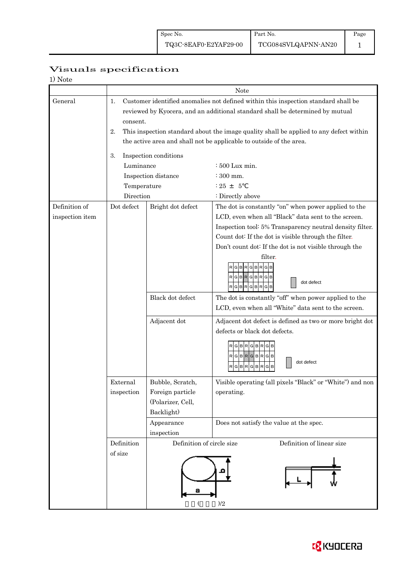## Page 1

## Visuals specification

| 1) Note |  |
|---------|--|
|---------|--|

|                 |                             | Note                                                                                   |                                                                       |  |  |  |  |  |  |
|-----------------|-----------------------------|----------------------------------------------------------------------------------------|-----------------------------------------------------------------------|--|--|--|--|--|--|
| General         | 1.                          | Customer identified anomalies not defined within this inspection standard shall be     |                                                                       |  |  |  |  |  |  |
|                 |                             | reviewed by Kyocera, and an additional standard shall be determined by mutual          |                                                                       |  |  |  |  |  |  |
|                 |                             | consent.                                                                               |                                                                       |  |  |  |  |  |  |
|                 | 2.                          | This inspection standard about the image quality shall be applied to any defect within |                                                                       |  |  |  |  |  |  |
|                 |                             | the active area and shall not be applicable to outside of the area.                    |                                                                       |  |  |  |  |  |  |
|                 | 3.<br>Inspection conditions |                                                                                        |                                                                       |  |  |  |  |  |  |
|                 |                             | Luminance<br>: 500 Lux min.                                                            |                                                                       |  |  |  |  |  |  |
|                 |                             | Inspection distance<br>$\div$ 300 mm.                                                  |                                                                       |  |  |  |  |  |  |
|                 | Temperature                 |                                                                                        | $: 25 + 5$                                                            |  |  |  |  |  |  |
|                 | Direction                   |                                                                                        | : Directly above                                                      |  |  |  |  |  |  |
| Definition of   | Dot defect                  | Bright dot defect                                                                      | The dot is constantly "on" when power applied to the                  |  |  |  |  |  |  |
| inspection item |                             |                                                                                        | LCD, even when all "Black" data sent to the screen.                   |  |  |  |  |  |  |
|                 |                             |                                                                                        | Inspection tool: 5% Transparency neutral density filter.              |  |  |  |  |  |  |
|                 |                             |                                                                                        | Count dot: If the dot is visible through the filter.                  |  |  |  |  |  |  |
|                 |                             |                                                                                        | Don't count dot: If the dot is not visible through the                |  |  |  |  |  |  |
|                 |                             |                                                                                        | filter.                                                               |  |  |  |  |  |  |
|                 |                             |                                                                                        | <b>BRG</b><br>в                                                       |  |  |  |  |  |  |
|                 |                             |                                                                                        | $RGBRGBRGB$                                                           |  |  |  |  |  |  |
|                 |                             |                                                                                        | dot defect<br>RGBRGBR<br>G B                                          |  |  |  |  |  |  |
|                 |                             | Black dot defect                                                                       | The dot is constantly "off" when power applied to the                 |  |  |  |  |  |  |
|                 |                             |                                                                                        | LCD, even when all "White" data sent to the screen.                   |  |  |  |  |  |  |
|                 |                             | Adjacent dot                                                                           | Adjacent dot defect is defined as two or more bright dot              |  |  |  |  |  |  |
|                 |                             |                                                                                        | defects or black dot defects.                                         |  |  |  |  |  |  |
|                 |                             |                                                                                        | RGBRGBRGB<br>RGBRGBRGB<br>dot defect<br>G<br><b>BR</b><br>G<br>G<br>в |  |  |  |  |  |  |
|                 | External                    | Bubble, Scratch,                                                                       | Visible operating (all pixels "Black" or "White") and non             |  |  |  |  |  |  |
|                 | inspection                  | Foreign particle                                                                       | operating.                                                            |  |  |  |  |  |  |
|                 |                             | (Polarizer, Cell,                                                                      |                                                                       |  |  |  |  |  |  |
|                 |                             | Backlight)                                                                             |                                                                       |  |  |  |  |  |  |
|                 |                             | Appearance                                                                             | Does not satisfy the value at the spec.                               |  |  |  |  |  |  |
|                 |                             | inspection                                                                             |                                                                       |  |  |  |  |  |  |
|                 | Definition                  | Definition of circle size                                                              | Definition of linear size                                             |  |  |  |  |  |  |
|                 |                             |                                                                                        |                                                                       |  |  |  |  |  |  |
|                 |                             |                                                                                        | )/2                                                                   |  |  |  |  |  |  |